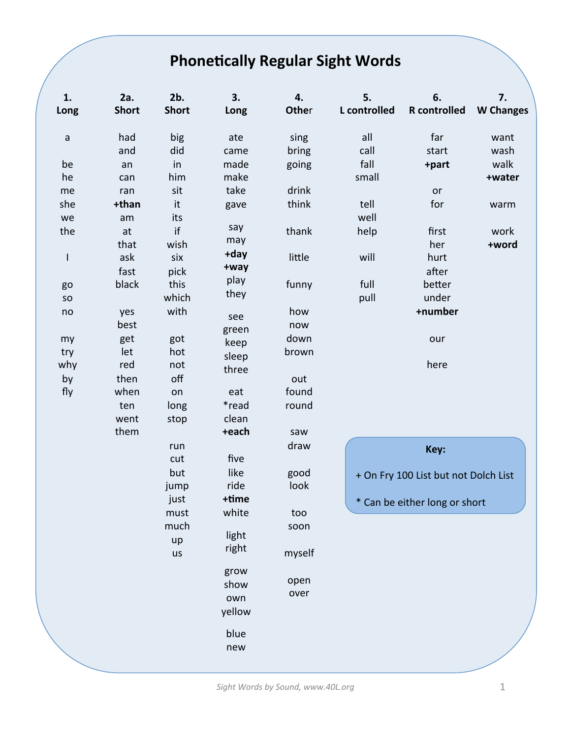## **Phonetically Regular Sight Words**

| 1.           | 2a.          | 2b.          | 3.     | 4.     | 5.           | 6.                                   | 7.               |
|--------------|--------------|--------------|--------|--------|--------------|--------------------------------------|------------------|
| Long         | <b>Short</b> | <b>Short</b> | Long   | Other  | L controlled | <b>R</b> controlled                  | <b>W</b> Changes |
|              |              |              |        |        |              |                                      |                  |
| $\mathsf a$  | had          | big          | ate    | sing   | all          | far                                  | want             |
|              | and          | did          | came   | bring  | call         | start                                | wash             |
| be           | an           | in           | made   | going  | fall         | +part                                | walk             |
| he           | can          | him          | make   |        | small        |                                      | +water           |
| me           | ran          | sit          | take   | drink  |              | or                                   |                  |
| she          | +than        | it           | gave   | think  | tell         | for                                  | warm             |
| we           | am           | its          |        |        | well         |                                      |                  |
| the          | at           | if           | say    | thank  | help         | first                                | work             |
|              | that         | wish         | may    |        |              | her                                  | +word            |
| $\mathsf{I}$ | ask          | six          | +day   | little | will         | hurt                                 |                  |
|              | fast         | pick         | +way   |        |              | after                                |                  |
| go           | black        | this         | play   | funny  | full         | better                               |                  |
| SO           |              | which        | they   |        | pull         | under                                |                  |
| no           | yes          | with         | see    | how    |              | +number                              |                  |
|              | best         |              | green  | now    |              |                                      |                  |
| my           | get          | got          | keep   | down   |              | our                                  |                  |
| try          | let          | hot          | sleep  | brown  |              |                                      |                  |
| why          | red          | not          | three  |        |              | here                                 |                  |
| by           | then         | off          |        | out    |              |                                      |                  |
| fly          | when         | on           | eat    | found  |              |                                      |                  |
|              | ten          | long         | *read  | round  |              |                                      |                  |
|              | went         | stop         | clean  |        |              |                                      |                  |
|              | them         |              | +each  | saw    |              |                                      |                  |
|              |              | run          |        | draw   |              | Key:                                 |                  |
|              |              | cut          | five   |        |              |                                      |                  |
|              |              | but          | like   | good   |              | + On Fry 100 List but not Dolch List |                  |
|              |              | jump         | ride   | look   |              |                                      |                  |
|              |              | just         | +time  |        |              | * Can be either long or short        |                  |
|              |              | must         | white  | too    |              |                                      |                  |
|              |              | much         |        | soon   |              |                                      |                  |
|              |              | up           | light  |        |              |                                      |                  |
|              |              | us           | right  | myself |              |                                      |                  |
|              |              |              | grow   |        |              |                                      |                  |
|              |              |              | show   | open   |              |                                      |                  |
|              |              |              | own    | over   |              |                                      |                  |
|              |              |              | yellow |        |              |                                      |                  |
|              |              |              |        |        |              |                                      |                  |
|              |              |              | blue   |        |              |                                      |                  |
|              |              |              | new    |        |              |                                      |                  |
|              |              |              |        |        |              |                                      |                  |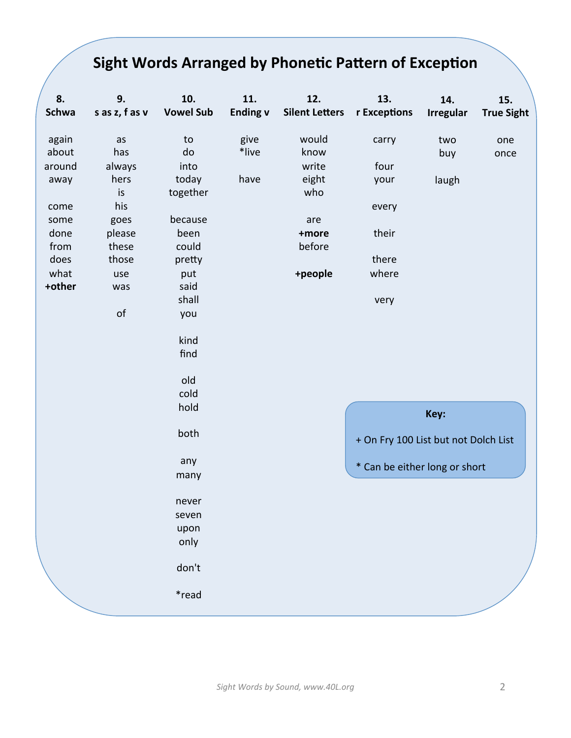## **Sight Words Arranged by Phonetic Pattern of Exception**

| 8.<br><b>Schwa</b> | 9.<br>s as z, f as v | 10.<br><b>Vowel Sub</b> | 11.<br><b>Ending v</b> | 12.<br><b>Silent Letters</b> | 13.<br>r Exceptions                  | 14.<br><b>Irregular</b> | 15.<br><b>True Sight</b> |
|--------------------|----------------------|-------------------------|------------------------|------------------------------|--------------------------------------|-------------------------|--------------------------|
| again              | as                   | to                      | give                   | would                        | carry                                | two                     | one                      |
| about              | has                  | do                      | *live                  | know                         |                                      | buy                     | once                     |
| around             | always               | into                    |                        | write                        | four                                 |                         |                          |
| away               | hers                 | today                   | have                   | eight                        | your                                 | laugh                   |                          |
|                    | is                   | together                |                        | who                          |                                      |                         |                          |
| come               | his                  |                         |                        |                              | every                                |                         |                          |
| some               | goes                 | because                 |                        | are                          |                                      |                         |                          |
| done               | please               | been                    |                        | +more                        | their                                |                         |                          |
| from               | these                | could                   |                        | before                       |                                      |                         |                          |
| does               | those                | pretty                  |                        |                              | there                                |                         |                          |
| what               | use                  | put                     |                        | +people                      | where                                |                         |                          |
| +other             | was                  | said                    |                        |                              |                                      |                         |                          |
|                    |                      | shall                   |                        |                              | very                                 |                         |                          |
|                    | of                   | you                     |                        |                              |                                      |                         |                          |
|                    |                      | kind                    |                        |                              |                                      |                         |                          |
|                    |                      | find                    |                        |                              |                                      |                         |                          |
|                    |                      | old                     |                        |                              |                                      |                         |                          |
|                    |                      | cold                    |                        |                              |                                      |                         |                          |
|                    |                      | hold                    |                        |                              | Key:                                 |                         |                          |
|                    |                      | both                    |                        |                              | + On Fry 100 List but not Dolch List |                         |                          |
|                    |                      | any                     |                        |                              | * Can be either long or short        |                         |                          |
|                    |                      | many                    |                        |                              |                                      |                         |                          |
|                    |                      | never                   |                        |                              |                                      |                         |                          |
|                    |                      | seven                   |                        |                              |                                      |                         |                          |
|                    |                      | upon                    |                        |                              |                                      |                         |                          |
|                    |                      | only                    |                        |                              |                                      |                         |                          |
|                    |                      | don't                   |                        |                              |                                      |                         |                          |
|                    |                      | *read                   |                        |                              |                                      |                         |                          |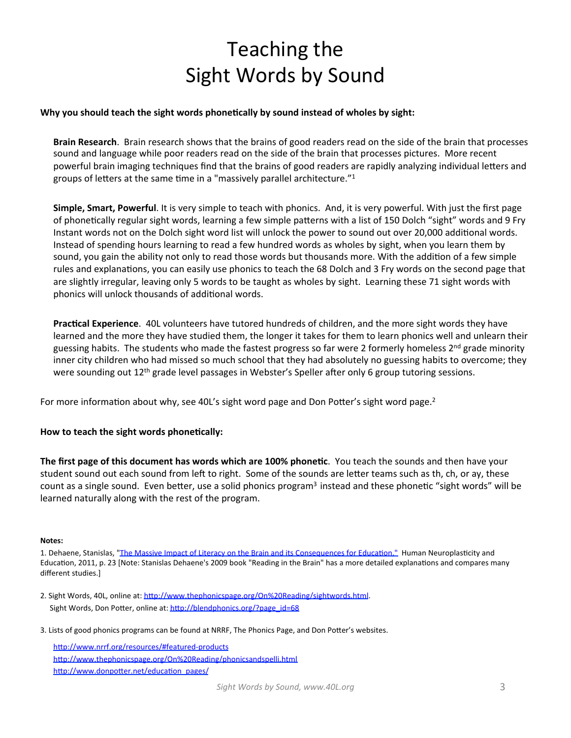# Teaching the Sight Words by Sound

### Why you should teach the sight words phonetically by sound instead of wholes by sight:

**Brain Research**. Brain research shows that the brains of good readers read on the side of the brain that processes sound and language while poor readers read on the side of the brain that processes pictures. More recent powerful brain imaging techniques find that the brains of good readers are rapidly analyzing individual letters and groups of letters at the same time in a "massively parallel architecture." $1$ 

**Simple, Smart, Powerful**. It is very simple to teach with phonics. And, it is very powerful. With just the first page of phonetically regular sight words, learning a few simple patterns with a list of 150 Dolch "sight" words and 9 Fry Instant words not on the Dolch sight word list will unlock the power to sound out over 20,000 additional words. Instead of spending hours learning to read a few hundred words as wholes by sight, when you learn them by sound, you gain the ability not only to read those words but thousands more. With the addition of a few simple rules and explanations, you can easily use phonics to teach the 68 Dolch and 3 Fry words on the second page that are slightly irregular, leaving only 5 words to be taught as wholes by sight. Learning these 71 sight words with phonics will unlock thousands of additional words.

**Practical Experience.** 40L volunteers have tutored hundreds of children, and the more sight words they have learned and the more they have studied them, the longer it takes for them to learn phonics well and unlearn their guessing habits. The students who made the fastest progress so far were 2 formerly homeless 2<sup>nd</sup> grade minority inner city children who had missed so much school that they had absolutely no guessing habits to overcome; they were sounding out  $12^{th}$  grade level passages in Webster's Speller after only 6 group tutoring sessions.

For more information about why, see 40L's sight word page and Don Potter's sight word page.<sup>2</sup>

### How to teach the sight words phonetically:

**The first page of this document has words which are 100% phonetic**. You teach the sounds and then have your student sound out each sound from left to right. Some of the sounds are letter teams such as th, ch, or ay, these count as a single sound. Even better, use a solid phonics program<sup>3</sup> instead and these phonetic "sight words" will be learned naturally along with the rest of the program.

#### **Notes:**

1. Dehaene, Stanislas, "The Massive Impact of Literacy on the Brain and its Consequences for Education." Human Neuroplasticity and Education, 2011, p. 23 [Note: Stanislas Dehaene's 2009 book "Reading in the Brain" has a more detailed explanations and compares many different studies.]

- 2. Sight Words, 40L, online at: http://www.thephonicspage.org/On%20Reading/sightwords.html. Sight Words, Don Potter, online at: http://blendphonics.org/?page\_id=68
- 3. Lists of good phonics programs can be found at NRRF, The Phonics Page, and Don Potter's websites.

http://www.nrrf.org/resources/#featured-products http://www.thephonicspage.org/On%20Reading/phonicsandspelli.html http://www.donpotter.net/education\_pages/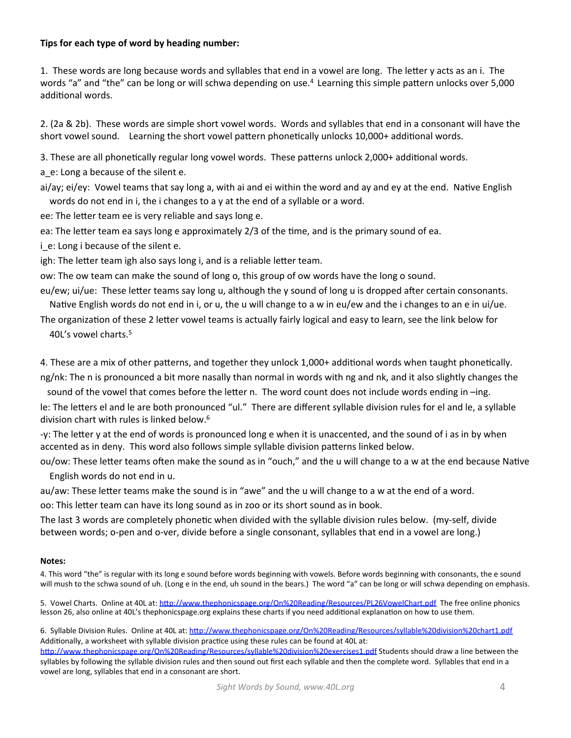### **Tips for each type of word by heading number:**

1. These words are long because words and syllables that end in a vowel are long. The letter y acts as an i. The words "a" and "the" can be long or will schwa depending on use.<sup>4</sup> Learning this simple pattern unlocks over 5,000 additional words.

2. (2a & 2b). These words are simple short vowel words. Words and syllables that end in a consonant will have the short vowel sound. Learning the short vowel pattern phonetically unlocks 10,000+ additional words.

3. These are all phonetically regular long vowel words. These patterns unlock 2,000+ additional words.

a e: Long a because of the silent e.

ai/ay; ei/ey: Vowel teams that say long a, with ai and ei within the word and ay and ey at the end. Native English words do not end in i, the i changes to a y at the end of a syllable or a word.

ee: The letter team ee is very reliable and says long e.

ea: The letter team ea says long e approximately 2/3 of the time, and is the primary sound of ea.

i\_e: Long i because of the silent e.

igh: The letter team igh also says long i, and is a reliable letter team.

ow: The ow team can make the sound of long o, this group of ow words have the long o sound.

eu/ew; ui/ue: These letter teams say long u, although the y sound of long u is dropped after certain consonants. Native English words do not end in i, or u, the u will change to a w in eu/ew and the i changes to an e in ui/ue.

The organization of these 2 letter vowel teams is actually fairly logical and easy to learn, see the link below for 40L's vowel charts.<sup>5</sup>

4. These are a mix of other patterns, and together they unlock 1,000+ additional words when taught phonetically.

ng/nk: The n is pronounced a bit more nasally than normal in words with ng and nk, and it also slightly changes the sound of the vowel that comes before the letter n. The word count does not include words ending in -ing.

le: The letters el and le are both pronounced "ul." There are different syllable division rules for el and le, a syllable division chart with rules is linked below.<sup>6</sup>

-y: The letter y at the end of words is pronounced long e when it is unaccented, and the sound of i as in by when accented as in deny. This word also follows simple syllable division patterns linked below.

ou/ow: These letter teams often make the sound as in "ouch," and the u will change to a w at the end because Native English words do not end in u.

au/aw: These letter teams make the sound is in "awe" and the u will change to a w at the end of a word. oo: This letter team can have its long sound as in zoo or its short sound as in book.

The last 3 words are completely phonetic when divided with the syllable division rules below. (my-self, divide between words; o-pen and o-ver, divide before a single consonant, syllables that end in a vowel are long.)

#### **Notes:**

4. This word "the" is regular with its long e sound before words beginning with vowels. Before words beginning with consonants, the e sound will mush to the schwa sound of uh. (Long e in the end, uh sound in the bears.) The word "a" can be long or will schwa depending on emphasis.

5. Vowel Charts. Online at 40L at: http://www.thephonicspage.org/On%20Reading/Resources/PL26VowelChart.pdf The free online phonics lesson 26, also online at 40L's thephonicspage.org explains these charts if you need additional explanation on how to use them.

6. Syllable Division Rules. Online at 40L at: http://www.thephonicspage.org/On%20Reading/Resources/syllable%20division%20chart1.pdf Additionally, a worksheet with syllable division practice using these rules can be found at 40L at:

http://www.thephonicspage.org/On%20Reading/Resources/syllable%20division%20exercises1.pdf Students should draw a line between the syllables by following the syllable division rules and then sound out first each syllable and then the complete word. Syllables that end in a vowel are long, syllables that end in a consonant are short.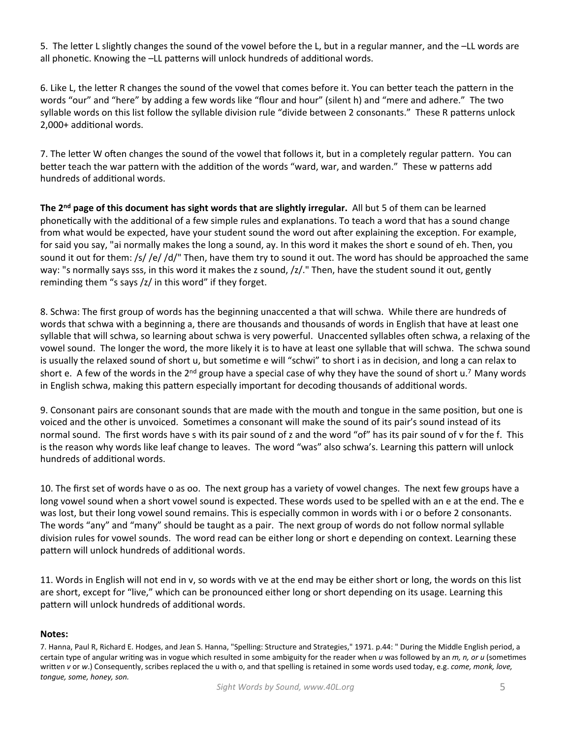5. The letter L slightly changes the sound of the vowel before the L, but in a regular manner, and the -LL words are all phonetic. Knowing the -LL patterns will unlock hundreds of additional words.

6. Like L, the letter R changes the sound of the vowel that comes before it. You can better teach the pattern in the words "our" and "here" by adding a few words like "flour and hour" (silent h) and "mere and adhere." The two syllable words on this list follow the syllable division rule "divide between 2 consonants." These R patterns unlock 2,000+ additional words.

7. The letter W often changes the sound of the vowel that follows it, but in a completely regular pattern. You can better teach the war pattern with the addition of the words "ward, war, and warden." These w patterns add hundreds of additional words.

The 2<sup>nd</sup> page of this document has sight words that are slightly irregular. All but 5 of them can be learned phonetically with the additional of a few simple rules and explanations. To teach a word that has a sound change from what would be expected, have your student sound the word out after explaining the exception. For example, for said you say, "ai normally makes the long a sound, ay. In this word it makes the short e sound of eh. Then, you sound it out for them: /s/ /e/ /d/" Then, have them try to sound it out. The word has should be approached the same way: "s normally says sss, in this word it makes the z sound,  $/z/$ ." Then, have the student sound it out, gently reminding them "s says  $\frac{z}{i}$  in this word" if they forget.

8. Schwa: The first group of words has the beginning unaccented a that will schwa. While there are hundreds of words that schwa with a beginning a, there are thousands and thousands of words in English that have at least one syllable that will schwa, so learning about schwa is very powerful. Unaccented syllables often schwa, a relaxing of the vowel sound. The longer the word, the more likely it is to have at least one syllable that will schwa. The schwa sound is usually the relaxed sound of short u, but sometime e will "schwi" to short i as in decision, and long a can relax to short e. A few of the words in the  $2^{nd}$  group have a special case of why they have the sound of short u.<sup>7</sup> Many words in English schwa, making this pattern especially important for decoding thousands of additional words.

9. Consonant pairs are consonant sounds that are made with the mouth and tongue in the same position, but one is voiced and the other is unvoiced. Sometimes a consonant will make the sound of its pair's sound instead of its normal sound. The first words have s with its pair sound of z and the word "of" has its pair sound of v for the f. This is the reason why words like leaf change to leaves. The word "was" also schwa's. Learning this pattern will unlock hundreds of additional words.

10. The first set of words have o as oo. The next group has a variety of vowel changes. The next few groups have a long vowel sound when a short vowel sound is expected. These words used to be spelled with an e at the end. The e was lost, but their long vowel sound remains. This is especially common in words with i or o before 2 consonants. The words "any" and "many" should be taught as a pair. The next group of words do not follow normal syllable division rules for vowel sounds. The word read can be either long or short e depending on context. Learning these pattern will unlock hundreds of additional words.

11. Words in English will not end in v, so words with ve at the end may be either short or long, the words on this list are short, except for "live," which can be pronounced either long or short depending on its usage. Learning this pattern will unlock hundreds of additional words.

### **Notes:**

7. Hanna, Paul R, Richard E. Hodges, and Jean S. Hanna, "Spelling: Structure and Strategies," 1971. p.44: " During the Middle English period, a certain type of angular writing was in vogue which resulted in some ambiguity for the reader when *u* was followed by an *m, n, or u* (sometimes written *v* or *w*.) Consequently, scribes replaced the u with o, and that spelling is retained in some words used today, e.g. *come, monk, love, tongue, some, honey, son.*